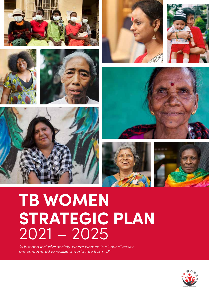

















# **TB WOMEN STRATEGIC PLAN** 2021 – 2025

*"A just and inclusive society, where women in all our diversity are empowered to realize a world free from TB"*

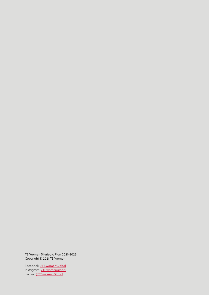TB Women Strategic Plan 2021-2025 Copyright © 2021 TB Women

Facebook: **[/TBWomenGlobal](https://www.facebook.com/TBWomenGloba)** Instagram: **[/TBwomenglobal](https://www.instagram.com/tbwomenglobal/)** Twitter: [@TBWomenGlobal](https://twitter.com/TbWomenGlobal)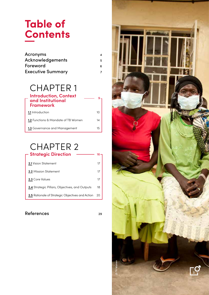## **Table of Contents**

| Acronyms                 |    |
|--------------------------|----|
| Acknowledgements         | 5. |
| Foreword                 |    |
| <b>Executive Summary</b> |    |

### CHAPTER 1

| <b>Introduction, Context</b><br>and Institutional<br><b>Framework</b> |    |
|-----------------------------------------------------------------------|----|
| <b>1.1</b> Introduction                                               | 10 |
| <b>1.2</b> Functions & Mandate of TB Women                            | 14 |
| 1.3 Governance and Management                                         | 15 |

### CHAPTER 2 **Strategic Direction**

| <b>2.1</b> Vision Statement                             | 17 |
|---------------------------------------------------------|----|
| <b>2.2</b> Mission Statement                            | 17 |
| 2.3 Core Values                                         | 17 |
| <b>2.4</b> Strategic Pillars, Objectives, and Outputs   | 18 |
| <b>2.5</b> Rationale of Strategic Objectives and Action | 20 |

### References 29

 $16 -$ 

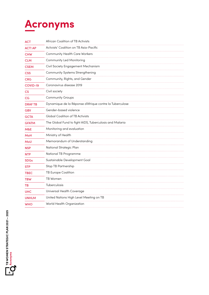# **Acronyms**

| <b>ACT</b>     | African Coalition of TB Activists                       |  |  |
|----------------|---------------------------------------------------------|--|--|
| <b>ACT! AP</b> | Activists' Coalition on TB Asia-Pacific                 |  |  |
| <b>CHW</b>     | <b>Community Health Care Workers</b>                    |  |  |
| <b>CLM</b>     | <b>Community Led Monitoring</b>                         |  |  |
| <b>CSEM</b>    | Civil Society Engagement Mechanism                      |  |  |
| <b>CSS</b>     | Community Systems Strengthening                         |  |  |
| <b>CRG</b>     | Community, Rights, and Gender                           |  |  |
| COVID-19       | Coronavirus disease 2019                                |  |  |
| $\mathsf{CS}$  | Civil society                                           |  |  |
| CG             | <b>Community Groups</b>                                 |  |  |
| <b>DRAFTB</b>  | Dynamique de la Réponse d'Afrique contre la Tuberculose |  |  |
| <b>GBV</b>     | Gender-based violence                                   |  |  |
| <b>GCTA</b>    | <b>Global Coalition of TB Activists</b>                 |  |  |
| <b>GFATM</b>   | The Global Fund to fight AIDS, Tuberculosis and Malaria |  |  |
| M&E            | Monitoring and evaluation                               |  |  |
| MoH            | Ministry of Health                                      |  |  |
| MoU            | Memorandum of Understanding                             |  |  |
| <b>NSP</b>     | National Strategic Plan                                 |  |  |
| <b>NTP</b>     | National TB Programme                                   |  |  |
| <b>SDGs</b>    | Sustainable Development Goal                            |  |  |
| <b>STP</b>     | Stop TB Partnership                                     |  |  |
| <b>TBEC</b>    | TB Europe Coalition                                     |  |  |
| <b>TBW</b>     | TB Women                                                |  |  |
| ΤВ             | Tuberculosis                                            |  |  |
| <b>UHC</b>     | Universal Health Coverage                               |  |  |
| <b>UNHLM</b>   | United Nations High Level Meeting on TB                 |  |  |
| <b>WHO</b>     | World Health Organization                               |  |  |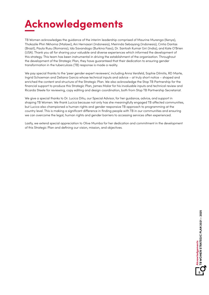

TB Women acknowledges the guidance of the interim leadership comprised of Maurine Murenga (Kenya), Thokozile Phiri Nkhoma (Malawi), Ani Hernasari (Indonesia), Meirinda Sebayang (Indonesia), Cintia Dantas (Brazil), Paula Rusu (Romania), Ida Savandogo (Burkina Faso), Dr. Santosh Kumar Giri (India), and Kate O'Brien (USA). Thank you all for sharing your valuable and diverse experiences which informed the development of this strategy. This team has been instrumental in driving the establishment of the organisation. Throughout the development of the Strategic Plan, they have guaranteed that their dedication to ensuring gender transformation in the tuberculosis (TB) response is made a reality.

We pay special thanks to the 'peer gender expert reviewers', including Anna Versfeld, Sophie Dilmitis, RD Marte, Ingrid Schoeman and Deliana Garcia whose technical inputs and advice – at truly short notice – shaped and enriched the content and structure of the Strategic Plan. We also acknowledge the Stop TB Partnership for the financial support to produce this Strategic Plan, James Malar for his invaluable inputs and technical review and Ricarda Steele for reviewing, copy editing and design coordination, both from Stop TB Partnership Secretariat.

We give a special thanks to Dr. Lucica Ditiu, our Special Advisor, for her guidance, advice, and support in shaping TB Women. We thank Lucica because not only has she meaningfully engaged TB affected communities, but Lucica also championed a human rights and gender responsive TB approach to programming at the country level. This is making a significant difference in finding people with TB in our communities and ensuring we can overcome the legal, human rights and gender barriers to accessing services often experienced.

Lastly, we extend special appreciation to Olive Mumba for her dedication and commitment in the development of this Strategic Plan and defining our vision, mission, and objectives.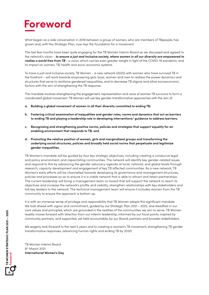## **Foreword**

What began as a side conversation in 2019 between a group of women, who are members of TBpeople, has grown and, with this Strategic Plan, now lays the foundation for a movement.

The last few months have been quite engaging for the TB Women Interim Board as we discussed and agreed to the network's vision - *to ensure a just and inclusive society, where women in all our diversity are empowered to realize a world free from TB* - a vision which carries even greater weight in light of the COVID-19 pandemic and its impact on women, TB, health and socio-economic systems.

To have a just and inclusive society, TB Women - a new network (2020) with women who have survived TB in the forefront - will work towards empowering girls, boys, women and men to redress the power dynamics and structures that serve to reinforce gendered inequalities, and to decrease TB stigma and other socioeconomic factors with the aim of strengthening the TB response.

The mandate involves strengthening the engagement, representation and voice of women TB survivors to form a coordinated global movement. TB Women will use key gender-transformative approaches with the aim of:

- **a. Building a global movement of women in all their diversity committed to ending TB;**
- **b. Fostering critical examination of inequalities and gender roles, norms and dynamics that act as barriers to ending TB and playing a leadership role in developing interventions/ guidance to address barriers;**
- **c. Recognizing and strengthening positive norms, policies and strategies that support equality for an enabling environment that responds to TB; and**
- **d. Promoting the relative position of women, girls and marginalized groups and transforming the underlying social structures, policies and broadly held social norms that perpetuate and legitimize gender inequalities.**

TB Women's mandate will be guided by four key strategic objectives, including creating a conducive legal and policy environment, and capacitating communities. The network will identify key gender-related issues and respond to this by advancing the gender advocacy agenda at local, national, and global levels through research, capacity development and engagement of key TB affected communities. As a new network, TB Women's early efforts will be channelled towards developing its governance and management structures, policies and processes so as to ensure it is a viable network that is able to attract and retain partnerships. The current leadership will bring a management team on board that will support the network to reach its objectives and increase the network's profile and visibility, strengthen relationships with key stakeholders and link key leaders to the network. The technical management team will ensure it includes women from the TB community to ensure the approach is bottom up.

It is with an immense sense of privilege and responsibility that TB Women adopts this significant mandate. We look ahead with vigour and commitment, guided by our Strategic Plan 2021 - 2025, and steadfast in our core values and principles, which are grounded in the realities of the communities we aim to serve. TB Women readily moves forward with direction from our interim leadership, informed by our focal points, inspired by community partners, and supported, yet held accountable, by our Board, partners and broader stakeholders.

We eagerly look forward to the next 5 years and to creating a women's TB movement, strengthening TB gender transformative responses, advancing human rights and ending TB by 2030!

TB Women Interim Board 8<sup>th</sup> March 2021 **International Women's Day**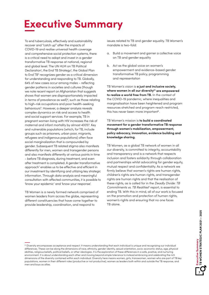# **Executive Summary**

To end tuberculosis, effectively and sustainability recover and "catch up" after the impacts of COVID-19 and realise universal health coverage and comprehensive social protection systems, there is a critical need to adopt and invest in a gender transformative TB response at national, regional and global level. The UN HLM on TB Political Declaration<sup>1</sup>, the End TB Strategy<sup>2</sup>, the Global Plan to End TB<sup>3</sup> recognizes gender as a critical dimension for understanding and responding to TB. Globally, 64% of new cases occur among males – reflecting gender patterns in societies and cultures (though we note recent report on Afghanistan that suggests shows that women are disproportionately impacted in terms of prevalence as well)<sup>4</sup>, such as those relating to high-risk occupations and poor health-seeking behaviours<sup>5</sup>. However, a deeper analysis reveals complex dynamics on risk and access to health and social support services. For example, TB in pregnant women living with HIV increases the risk of maternal and infant mortality by almost 400%<sup>6</sup>. Key and vulnerable populations (which, for TB, include groups such as prisoners, urban poor, migrants, refugees and indigenous populations) often face social marginalization that is compounded by gender. Subsequent TB related stigma also manifests differently for men, women and transgender persons and also manifests differently at various points in time - before TB diagnosis, during treatment, and even after treatment is completed. A gender transformative approach<sup>7</sup> enables us to be effective and efficient in our investment by identifying and utilizing key strategic information. Through data analysis and meaningful consultation with affected communities, it is possible to 'know your epidemic' and 'know your response'.

TB Women is a newly formed network comprised of women leaders from across the globe, representing different constituencies that have come together to provide leadership, coordination, and respond to

issues related to TB and gender equality. TB Women's mandate is two-fold:

- a. Build a movement and garner a collective voice on TB and gender equality
- b. Act as the global voice on women's empowerment and evidence-based gender transformative TB policy, programming and representation

TB Women's vision is **a just and inclusive society, where women in all our diversity(i) are empowered to realize a world free from TB.** In the context of the COVID-19 pandemic, where inequalities and marginalisation have been heightened and program resources stretched and program reach restricted, this has never been more important<sup>8</sup>.

#### TB Women's mission is **to build a coordinated movement for a gender transformative TB response through women's mobilization, empowerment, policy advocacy, innovation, evidence building and knowledge sharing.**

TB Women, as a global TB network of women in all our diversity, is committed to integrity, accountability and transparency and is a network that respects inclusion and fosters solidarity through collaboration and partnerships whilst advocating for gender equity, mutual respect and confidentiality. As a network we firmly believe that women's rights are human rights, children's rights are human rights, and transgender rights are human rights and that the realisation of these rights, as is called for in the *Deadly Divide: TB Commitments vs. TB Realities*9 report, is essential to ending TB. With this in mind, all of our work is focused on the promotion and protection of human rights, women's rights and ensuring that no one faces TB alone.

 $^{\circ}$  Diversity encompasses acceptance and respect. It means understanding that each individual is unique and recognizing our individual differences. These can be along the dimensions of race, ethnicity, gender identity, sexual orientation, socio-economic status, age, physical abilities, religious beliefs, political beliefs, or other ideologies. It is the exploration of these differences in a safe, positive, and nurturing environment. It is about understanding each other and moving beyond simple tolerance to instead embracing and celebrating the rich dimensions of the diversity contained within each individual. Diversity here means women, girls, transwomen, women who are part of TB key populations, women in their different roles (productive or not productive), women as leaders both within and outside the TB response, and men and boys as allies.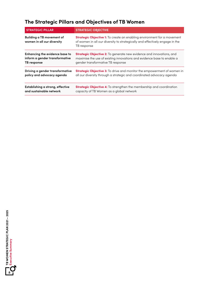### **The Strategic Pillars and Objectives of TB Women**

| <b>STRATEGIC PILLAR</b>                                        | <b>STRATEGIC OBJECTIVE</b>                                                                                                                                                    |  |
|----------------------------------------------------------------|-------------------------------------------------------------------------------------------------------------------------------------------------------------------------------|--|
| <b>Building a TB movement of</b><br>women in all our diversity | <b>Strategic Objective 1:</b> To create an enabling environment for a movement<br>of women in all our diversity to strategically and effectively engage in the<br>TB response |  |
| <b>Enhancing the evidence base to</b>                          | Strategic Objective 2: To generate new evidence and innovations, and                                                                                                          |  |
| inform a gender transformative                                 | maximise the use of existing innovations and evidence base to enable a                                                                                                        |  |
| TB response                                                    | gender transformative TB response                                                                                                                                             |  |
| Driving a gender transformative                                | <b>Strategic Objective 3:</b> To drive and monitor the empowerment of women in                                                                                                |  |
| policy and advocacy agenda                                     | all our diversity through a strategic and coordinated advocacy agenda                                                                                                         |  |
| Establishing a strong, effective                               | Strategic Objective 4: To strengthen the membership and coordination                                                                                                          |  |
| and sustainable network                                        | capacity of TB Women as a global network                                                                                                                                      |  |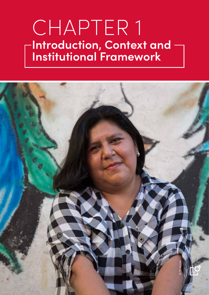# CHAPTER 1 **Introduction, Context and Institutional Framework**

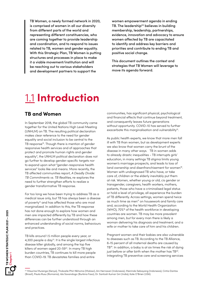TB Women, a newly formed network in 2020, is comprised of women in all our diversity from different parts of the world and representing different constituencies, who are coming together to provide leadership and coordination, and to respond to issues related to TB, women and gender equality. With this Strategic Plan, TB Women is putting structures and processes in place to make it a viable movement/institution and will be reaching out to various stakeholders and development partners to support the

women empowerment agenda in ending TB. The leadership<sup>(ii)</sup> believes in building membership, leadership, partnerships, evidence, innovation and advocacy to ensure women affected by TB are capacitated to identify and address key barriers and priorities and contribute to ending TB and positive social change.

This document outlines the context and strategies that TB Women will leverage to move its agenda forward.

## 1.1 **Introduction**

### **TB and Women**

In September 2018, the global TB community came together for the United Nations High Level Meeting (UNHLM) on TB. The resulting political declaration makes clear reference to the need for gender equality and social inclusion to be central to the TB response<sup>10</sup>. Though there is mention of gender responsive health services and of approaches that protect and promote human rights and gender equality<sup>11</sup>, the UNHLM political declaration does not go further to develop gender-specific targets nor to expand upon what "gender-responsive health services" looks like and means. More recently, the TB affected communities report, *A Deadly Divide: TB Commitments vs. TB Realities*, re-explores the need to further strengthen efforts to realize a gender transformative TB response.

For too long we have been trying to address TB as a medical issue only, but TB has always been a disease of poverty<sup>12</sup> and has affected those who are most marginalized. In addition to this, the TB response has not done enough to explore how women and men are impacted differently by TB and how these differences can be further understood through an enhanced understanding of social norms, behaviours and practices.

TB kills around 1.5 million people every year, or 4,300 people a day13. It is the single largest infectious disease killer globally, and among the top five killers of women aged 20-59<sup>14</sup>. In many TB high burden countries, TB continues to kill more people than COVID-19. TB devastates families and entire

communities, has significant physical, psychological and financial effects that continue beyond treatment, and consequently leaves future generations without opportunity. COVID-10 has served to further exacerbate this marginalisation and vulnerability<sup>15</sup>.

As public health experts, we know that more men fall ill with TB than women, but as development experts we also know that women carry the brunt of the disease in many other ways. TB in women adds to already drastic inequalities - TB interrupts girls' education, in many settings TB stigma limits young women's marriage prospects, and leads to loss of land ownership and disenfranchisement for women<sup>16</sup>. Women with undiagnosed TB who have, or take care of, children or the elderly inevitably put them at risk. Women, whether young or old, cis gender or transgender, caregivers, health workers, mothers, patients, those who have a criminalised legal status or hold a level of privilege, all experience the burden of TB differently. Across settings, women spend twice as much time as men<sup>17</sup> on housework and family care and, according to the World Health Organization (WHO), 70%18 of the health workforce in developing countries are women. TB may be more prevalent among men, but for every man there is likely a woman delivering his diagnosis and treatment, and a wife or mother to take care of him and his children.

Pregnant women and their babies are also vulnerable to diseases such as TB. According to the TB Alliance, 6-15 percent of all maternal deaths are caused by TB19. In addition, a baby is at six times the risk of dying just before or after birth when the mother has TB<sup>20</sup>. Integrating TB preventive care and screening services

(ii) Maurine Murenga (Kenya), Thokozile Phiri Nkhoma (Malawi), Ani Hernasari (Indonesia), Meirinda Sebayang (Indonesia), Cintia Dantas (Brasil), Paula Rusu (Romania), Ida Savandogo (Burkina Faso), Dr. Santosh Kumar Giri (India), Kate O'Brien (USA).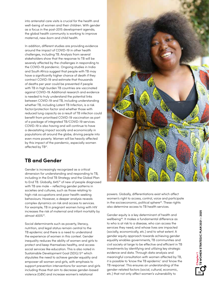into antenatal care visits is crucial for the health and well-being of women and their children. With gender as a focus in the post-2015 development agenda, the global health community is working to improve maternal, new-born and child health.

In addition, different studies are providing evidence around the impact of COVID-19 in other health challenges, including TB. Analysis from several stakeholders show that the response to TB will be severely affected by the challenges in responding to the COVID-19 pandemic. Ongoing studies in India and South Africa suggest that people with TB may have a significantly higher chance of death if they contract COVID-19 and estimate that thousands of deaths per year could be prevented if people with TB in high burden TB countries are vaccinated against COVID-19. Additional research and evidence is needed to truly understand the potential links between COVID-19 and TB, including understanding whether TB, including Latent TB Infection, is a risk factor/protection factor and whether those with reduced lung capacity as a result of TB infection could benefit from prioritised COVID-19 vaccination as part of a package of integrated TB/COVID-19 services. COVID-19 is also having and will continue to have a devastating impact socially and economically in populations all around the globe, driving people into even more poverty. Women will be heavily affected by this impact of the pandemic, especially women affected by TB<sup>21</sup>.

### **TB and Gender**

Gender is increasingly recognized as a critical dimension for understanding and responding to TB, including in the End TB Strategy and the Global Plan to End TB. Globally, 64%<sup>22</sup> of new of people diagnosed with TB are male – reflecting gender patterns in societies and cultures, such as those relating to high-risk occupations and poor health-seeking behaviours. However, a deeper analysis reveals complex dynamics on risk and access to services. For example, TB in pregnant women living with HIV increases the risk of maternal and infant mortality by almost 400%23.

Social determinants such as poverty, literacy, nutrition, and legal status remain central to the TB epidemic and there is a need to understand the experience of women in this context. Gender inequality reduces the ability of women and girls to protect and keep themselves healthy, and access social services like education. This is also noted in Sustainable Development Goal (SDG) 524 which stipulates the need to achieve gender equality and empower all women and girls, with emphasis to support prevention interventions for women and girls including those that aim to decrease gender-based violence (GBV) and increase women's relational



powers. Globally, differentiations exist which affect women's right to access, control, voice and participate in the socioeconomic, political sphere<sup>25</sup>. These rights also determine access to TB health services.

Gender equity is a key determinant of health and wellbeing26. It makes a fundamental difference as to who is at risk to a disease, who can access the services they need, and whose lives are impacted (socially, economically, etc.) and to what extent. A gender equity approach towards achieving gender equality enables governments, TB communities and civil society at large to be effective and efficient in TB investments by identifying and utilizing key strategic evidence and data. Through data analysis and meaningful consultation with women affected by TB, it is possible to 'know the TB epidemic' and 'know the TB response'. This ensures an understanding of the gender-related factors (social, cultural, economic, France Colorer and Highlands and the section of the section of the section of the section of the section of the section of the section of the section of the section of the section of the section of the section of the secti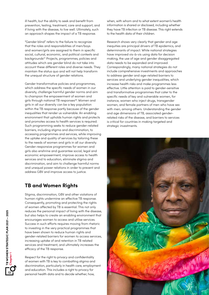ill health, but the ability to seek and benefit from prevention, testing, treatment, care and support, and if living with the disease, to live well. Ultimately, such an approach shapes the impact of a TB response.

"Gender blind" refers to the failure to recognize that the roles and responsibilities of men/boys and women/girls are assigned to them in specific social, cultural, economic, and political contexts and backgrounds27. Projects, programmes, policies and attitudes which are gender blind do not take into account these different roles and diverse needs. They maintain the status quo and will not help transform the unequal structure of gender relations.

Gender transformative policies and programmes, which address the specific needs of women in our diversity, challenge harmful gender norms and aim to champion the empowerment of women and girls through national TB responses<sup>28</sup>. Women and girls in all our diversity can be a key population within the TB response partly because of the gender inequalities that render us vulnerable. An enabling environment that upholds human rights and protects and promotes access to health services is required. Such programming seeks to reduce gender-related barriers, including stigma and discrimination, to accessing programmes and services, while improving the uptake and quality of services by tailoring these to the needs of women and girls in all our diversity. Gender-responsive programmes for women and girls also enshrine and guarantee social, legal and economic empowerment, improve access to health services and to education, eliminate stigma and discrimination, and aim to challenge harmful norms and unequal power relations in order to prevent and address GBV and improve access to justice.

### **TB and Women Rights**

Stigma, discrimination, GBV and other violations of human rights undermine an effective TB response. Consequently, promoting and protecting the rights of women affected by TB is essential. This not only reduces the personal impact of living with the disease, but also helps to create an enabling environment that encourages women to access and utilise services. Success in such efforts requires moving from rhetoric to investing in the very practical programmes that have been shown to reduce human rights and gender-related barriers for women to access services, increasing uptake of and retention in TB related services and treatment, and ultimately increases the efficacy of the TB response.

Respect for the right to privacy and confidentiality of women with TB is key to combatting stigma and discrimination, particularly in health care, employment and education. This includes a right to privacy for personal health data and to decide whether, how,

when, with whom and to what extent women's health information is shared or disclosed, including whether they have TB infection or TB disease. This right extends to the health data of their children.

Research shows very clearly that gender and age inequities are principal drivers of TB epidemics, and determinants of impact. While national strategies have improved vis-à-vis using data for decision making, the use of age and gender disaggregated data needs to be expanded and improved. Correspondingly, many national strategies do not include comprehensive investments and approaches to address gender and age-related barriers to services and underlying gender inequalities, which increase health risks and make programmes less effective. Little attention is paid to gender-sensitive and transformative programmes that cater to the specific needs of key and vulnerable women, for instance, women who inject drugs, transgender women, and female partners of men who have sex with men, among others. Understanding the gender and age dimensions of TB, associated genderrelated risks of the disease, and barriers to services is critical for countries in making targeted and strategic investments.

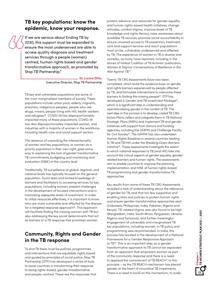### **TB key populations: know the epidemic, know your response.**

If we are serious about Ending TB by 2030, this support must be expanded to ensure the most underserved are able to access quality diagnosis and treatment services through a people (women) centred, human rights based and gender transformative approach, as promoted by Stop TB Partnership."

#### **Dr. Lucica Ditiu,**  Executive Director, Stop TB Partnership

TB key and vulnerable populations are some of the most marginalized members of society. These populations include urban poor, elderly, migrants, prisoners, indigenous peoples, people who use drugs, miners, people living with HIV, health workers and refugees<sup>29</sup>. COVID-19 has disproportionately impacted many of these populations. COVID-19 has also disproportionately impacted women, and industries with a majority of women in the workforce,

The absence of unpacking the intersectionality of women and key populations, or women as a priority population in their own right, goes some way to explaining the lack of gender transformative TB commitments, budgeting and monitoring and evaluation (M&E) at the country level.

including health care and social support sectors.

Traditionally, TB surveillance at global, regional, and national levels has typically focused on the general population. Scant data and limited knowledge of barriers and facilitators to accessing services for key populations, including women, present challenges in the development of focused interventions and in motivating adequate levels of investment. In order to utilize resources effectively, it is important to know who are more vulnerable and affected by the disease for a targeted response approach<sup>30</sup>. This approach will facilitate finding the missing women with TB but also addressing the key social determinants that act as barriers to a TB response that prioritises women.

### **Community, Rights and Gender in the TB response**

To end TB there must be policies, programmes and interventions that are equitable, rights based and guided by principles of social justice. Stop TB Partnership (STP) has developed a series of tools to assist countries in transforming their response to being rights-based, gender-transformative and people-centred. These are the responses that protect, advance and advocate for gender equality and human rights-based health initiatives, change attitudes, combat stigma, improve levels of TB knowledge and rights literacy, raise awareness about available TB services, promote social accountability to ensure universal access to TB prevention, treatment, care and support services and reach populations most at risk, vulnerable, underserved and affected by TB. The experience of women in TB is diverse and complex, as many have reported, including in the stories of Global Coalition of TB Activists' publication, *Women & Stigma: Conversations of Resilience in the War Against TB*. 31

Twenty TB CRG Assessments have now been completed, which build the evidence base on gender and rights barriers experienced by people affected by TB, and formulate interventions to overcome these barriers to finding the missing people<sup>32</sup>. STP has developed a *Gender and TB Investment Package*33, which is a significant step in understanding and operationalising gender in the context of TB. The next step in this process is to develop costed TB CRG Action Plans, reflect and integrate them in TB National Strategic Plans (NSPs) and implement TB and gender initiatives with support from donors and funding agencies, including the GFATM and Challenge Facility for Civil Society<sup>34</sup>. The GFATM has also undertaken Human Rights Baselines in several countries relating to TB and TB/HIV under the *Breaking Down Barriers* initiative<sup>35</sup>. These assessments investigate the extent to which national responses to TB (and HIV) take into account the critical aspects of gender equality, genderrelated barriers and human rights. The assessments aim to enable countries to improve the planning, implementation, and M&E of human rights-based TB programming and gender-transformative TB approaches.

Key results from some of these TB CRG Assessments revealed a lack of understanding about the relevance of gender for TB, and that too few supportive and enabling laws and policies to protect human rights and ensure gender-transformative approaches exist (Indonesia, Philippines, India, Pakistan, Nigeria and Kenya). TB-related stigma was also found to be high (Bangladesh, India, South Africa, Kyrgyzstan, Ukraine, Nigeria and Tanzania), and further meaningful engagement of vulnerable and marginalized TB key populations, including women, in TB policy and programming was recommended. In India, this process has resulted in the development of a National Framework for a Gender Responsive Approach to TB36. This is an important step, as a gender transformative approach to TB cannot be separated from an approach that empowers women as part of the community response and there is a need to applaud the commitment of TB REACH37 to this principle – as the TB REACH mechanism has placed gender at the heart of innovative TB investments. There is a need to build on this momentum, to scale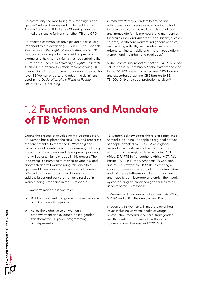up community-led monitoring of human rights and gender38 related barriers and implement the TB Stigma Assessment<sup>39</sup> in light of TB and gender, as immediate steps to further strengthen TB and CRG.

TB affected communities have played a particularly important role in advancing CRG in TB. The TBpeople *Declaration of the Rights of People Affected by TB40* was particularly important in providing practical examples of how human rights must be central to the TB response. The GCTA *Activating a Rights-Based TB Response41*, furthered this effort, recommending 20 interventions for programme managers at the country level. TB Women endorse and adopt the definitions used in the *Declaration of the Rights of People Affected by TB*, including:

*Person affected by TB* "refers to any person with tuberculosis disease or who previously had tuberculosis disease, as well as their caregivers and immediate family members, and members of tuberculosis key and vulnerable populations, such as children, health care workers, indigenous peoples, people living with HIV, people who use drugs, prisoners, miners, mobile and migrant populations, women, and the urban and rural poor."

A 2020 community report *Impact of COVID-19 on the TB Response: A Community Perspective* emphasised that COVID-19 has both created new CRG barriers and exacerbated existing CRG barriers to TB, TB/COVID-19 and social protection services<sup>42</sup>.

### 1.2 **Functions and Mandate of TB Women**

During the process of developing this Strategic Plan, TB Women has explored the structures and processes that are essential to make the TB Women global network a viable institution and movement, including the various stakeholders and development partners that will be essential to engage in this process. The leadership is committed to moving beyond a siloed approach and will work to bring relevance to a gendered TB response and to ensure that women affected by TB are capacitated to identify and address issues and barriers that have resulted in women being left behind in the TB response.

TB Women's mandate is two-fold:

- a. Build a movement and garner a collective voice on TB and gender equality
- b. Act as the global voice on women's empowerment and evidence-based gender transformative TB policy, programming and representation

TB Women acknowledges the role of established networks including TBpeople as a global network of people affected by TB, GCTA as a global network of activists, as well as TB advocacy platforms at the regional level including ACT Africa, DRAF TB in francophone Africa, ACT! Asia-Pacific, TBEC in Europe, Americas TB Coalition and MENA Network to STOP TB, in creating a space for people affected by TB. TB Women view each of these platforms as allies and partners and hope to both leverage and enrich their work by contributing an enhanced gender lens to all aspects of the TB response.

TB Women will be a resource that can assist WHO, GFATM and STP in their respective TB efforts.

In addition, TB Women will integrate other health issues including universal health coverage, reproductive, maternal and child, transgender health, paediatric TB, mental health, noncommunicable diseases and COVID-19.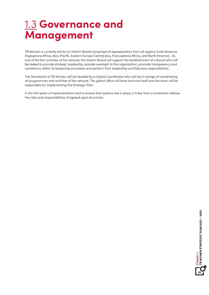## 1.3 **Governance and Management**

TB Women is currently led by an Interim Board comprised of representation from all regions (Latin America, Anglophone Africa, Asia-Pacific, Eastern Europe Central Asia, Francophone Africa, and North America) . As one of the first activities of the network, the Interim Board will support the establishment of a Board who will be tasked to provide strategic leadership, provide oversight to the organization, promote transparency and consistency within its leadership processes and perform their leadership and fiduciary responsibilities.

The Secretariat of TB Women will be headed by a Global Coordinator who will be in charge of coordinating all programmes and activities of the network. The global office will have technical staff and the team will be responsible for implementing this Strategic Plan.

In the first years of implementation and to ensure that systems are in place, it is key that a constitution defines the roles and responsibilities of agreed upon structures.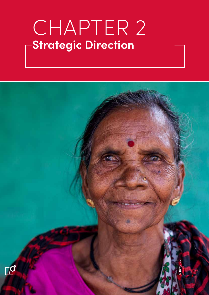# CHAPTER 2 **Strategic Direction**

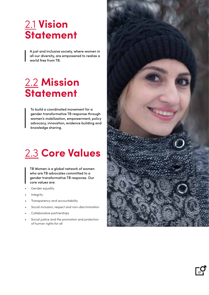## 2.1 **Vision Statement**

A just and inclusive society, where women in all our diversity, are empowered to realize a world free from TB.

## 2.2 **Mission Statement**

To build a coordinated movement for a gender transformative TB response through women's mobilization, empowerment, policy advocacy, innovation, evidence building and knowledge sharing.

## 2.3 **Core Values**

TB Women is a global network of women who are TB advocates committed to a gender transformative TB response. Our core values are:

- Gender equality
- **Integrity**
- Transparency and accountability
- Social inclusion, respect and non-discrimination
- Collaborative partnerships
- Social justice and the promotion and protection of human rights for all



**17**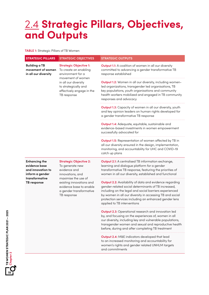## 2.4 **Strategic Pillars, Objectives, and Outputs**

**TABLE 1:** Strategic Pillars of TB Women

| <b>STRATEGIC PILLARS</b>                                                                                       | <b>STRATEGIC OBJECTIVES</b>                                                                                                                                                                                  | <b>STRATEGIC OUTPUTS</b>                                                                                                                                                                                                                                                                                                     |
|----------------------------------------------------------------------------------------------------------------|--------------------------------------------------------------------------------------------------------------------------------------------------------------------------------------------------------------|------------------------------------------------------------------------------------------------------------------------------------------------------------------------------------------------------------------------------------------------------------------------------------------------------------------------------|
| <b>Building a TB</b><br>movement of women<br>in all our diversity                                              | <b>Strategic Objective 1:</b><br>To create an enabling<br>environment for a<br>movement of women<br>in all our diversity<br>to strategically and<br>effectively engage in the<br>TB response                 | <b>Output 1.1:</b> A coalition of women in all our diversity<br>committed to advancing a gender transformative TB<br>response established                                                                                                                                                                                    |
|                                                                                                                |                                                                                                                                                                                                              | Output 1.2: Women in all our diversity, including women-<br>led organizations, transgender led organisations, TB<br>key populations, youth organisations and community<br>health workers mobilized and engaged in TB community<br>responses and advocacy                                                                     |
|                                                                                                                |                                                                                                                                                                                                              | Output 1.3: Capacity of women in all our diversity, youth<br>and key opinion leaders on human rights developed for<br>a gender transformative TB response                                                                                                                                                                    |
|                                                                                                                |                                                                                                                                                                                                              | Output 1.4: Adequate, equitable, sustainable and<br>evidence-based investments in women empowerment<br>successfully advocated for                                                                                                                                                                                            |
|                                                                                                                |                                                                                                                                                                                                              | <b>Output 1.5:</b> Representation of women affected by TB in<br>all our diversity ensured in the design, implementation,<br>monitoring, and accountability for UHC and COVID-19<br>catch up plans                                                                                                                            |
| <b>Enhancing the</b><br>evidence base<br>and innovation to<br>inform a gender<br>transformative<br>TB response | <b>Strategic Objective 2:</b><br>To generate new<br>evidence and<br>innovations, and<br>maximise the use of<br>existing innovations and<br>evidence base to enable<br>a gender transformative<br>TB response | <b>Output 2.1:</b> A centralised TB information exchange,<br>learning and dialogue platform for a gender<br>transformative TB response, featuring the priorities of<br>women in all our diversity, established and functional                                                                                                |
|                                                                                                                |                                                                                                                                                                                                              | Output 2.2: Availability of data and evidence regarding<br>gender-related social determinants of TB increased,<br>including on the legal and social barriers experienced<br>by women in all our diversity in accessing TB and social<br>protection services including an enhanced gender lens<br>applied to TB interventions |
|                                                                                                                |                                                                                                                                                                                                              | <b>Output 2.3:</b> Operational research and innovation led<br>by, and focusing on the experiences of, women in all<br>our diversity, including key and vulnerable populations,<br>transgender women and sexual and reproductive health<br>before, during and after completing TB treatment                                   |
|                                                                                                                |                                                                                                                                                                                                              | Output 2.4: M&E indicators developed that lead<br>to an increased monitoring and accountability for<br>women's rights and gender related UNHLM targets<br>and commitments                                                                                                                                                    |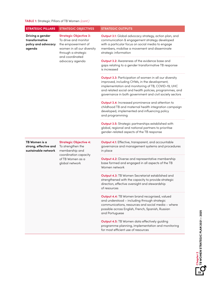| <b>STRATEGIC PILLARS</b>                                            | <b>STRATEGIC OBJECTIVES</b>                                                                                                                                            | <b>STRATEGIC OUTPUTS</b>                                                                                                                                                                                                                                                                    |
|---------------------------------------------------------------------|------------------------------------------------------------------------------------------------------------------------------------------------------------------------|---------------------------------------------------------------------------------------------------------------------------------------------------------------------------------------------------------------------------------------------------------------------------------------------|
| Driving a gender<br>transformative<br>policy and advocacy<br>agenda | <b>Strategic Objective 3:</b><br>To drive and monitor<br>the empowerment of<br>women in all our diversity<br>through a strategic<br>and coordinated<br>advocacy agenda | Output 3.1: Global advocacy strategy, action plan, and<br>communication & engagement strategy developed<br>with a particular focus on social media to engage<br>members, mobilise a movement and disseminate<br>strategic information                                                       |
|                                                                     |                                                                                                                                                                        | Output 3.2: Awareness of the evidence base and<br>gaps relating to a gender transformative TB response<br>is increased                                                                                                                                                                      |
|                                                                     |                                                                                                                                                                        | <b>Output 3.3: Participation of women in all our diversity</b><br>improved, including CHWs, in the development,<br>implementation and monitoring of TB, COVID-19, UHC<br>and related social and health policies, programmes, and<br>governance in both government and civil society sectors |
|                                                                     |                                                                                                                                                                        | Output 3.4: Increased prominence and attention to<br>childhood TB and maternal health integration campaign<br>developed, implemented and influencing policy<br>and programming                                                                                                              |
|                                                                     |                                                                                                                                                                        | <b>Output 3.5:</b> Strategic partnerships established with<br>global, regional and national partners to prioritise<br>gender-related aspects of the TB response                                                                                                                             |
| TB Women is a<br>strong, effective and<br>sustainable network       | <b>Strategic Objective 4:</b><br>To strengthen the<br>membership and<br>coordination capacity<br>of TB Women as a<br>global network                                    | Output 4.1: Effective, transparent, and accountable<br>governance and management systems and procedures<br>in place                                                                                                                                                                         |
|                                                                     |                                                                                                                                                                        | <b>Output 4.2:</b> Diverse and representative membership<br>base formed and engaged in all aspects of the TB<br>Women network                                                                                                                                                               |
|                                                                     |                                                                                                                                                                        | <b>Output 4.3: TB Women Secretariat established and</b><br>strengthened with the capacity to provide strategic<br>direction, effective oversight and stewardship<br>of resources                                                                                                            |
|                                                                     |                                                                                                                                                                        | <b>Output 4.4:</b> TB Women brand recognised, valued<br>and understood - including through strategic<br>communications, resources and social media - where<br>possible across English, French, Spanish, Russian<br>and Portuguese                                                           |
|                                                                     |                                                                                                                                                                        | Output 4.5: TB Women data effectively guiding<br>programme planning, implementation and monitoring<br>for most efficient use of resources                                                                                                                                                   |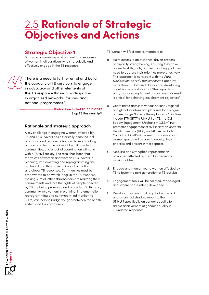## 2.5 **Rationale of Strategic Objectives and Actions**

### **Strategic Objective 1**

To create an enabling environment for a movement of women in all our diversity to strategically and effectively engage in the TB response

There is a need to further enrol and build the capacity of TB survivors to engage in advocacy and other elements of the TB response through participation in organized networks, forums, and national programmes."

> **Global Plan to End TB: 2018-2022** Stop TB Partnership<sup>43</sup>

### **Rationale and strategic approach**

A key challenge in engaging women affected by TB and TB survivors has historically been the lack of support and representation on decision making platforms to hear the voices of the TB affected communities, and a lack of coordination with and within TB civil society. The result has been that the voices of women and women TB survivors in planning, implementing and reprogramming are not heard and thus have no impact on national and global TB responses. Communities must be empowered to be watch-dogs in the TB response, making sure all other stakeholders are realizing their commitments and that the rights of people affected by TB are being promoted and protected. To this end, community involvement in planning, implementation, reprogramming and community-led monitoring (CLM) can help to bridge the gap between the health system and the community.

TB Women will facilitate its members to:

- a. Have access to an evidence-driven process of capacity strengthening, ensuring they have access to skills, tools, and technical support they need to address their priorities more effectively. This approach is consistent with the *Paris Declaration on Aid Effectiveness44*, signed by more than 100 bilateral donors and developing countries, which states that "the capacity to plan, manage, implement and account for result is critical for achieving development objectives".
- b. Coordinated access to various national, regional and global initiatives and platforms for dialogue and exchange. Some of these platforms/initiatives include STP, GFATM, UNHLM on TB, the Civil Society Engagement Mechanism (CSEM) that promotes engagement of civil society on Universal Health Coverage (UHC) and ACT-A Facilitation Council on COVID-19. Women TB survivors and women groups will be able to develop their priorities and present in these spaces.
- c. Mobilise and strengthen representation of women affected by TB at key decisionmaking tables.
- d. Engage and mentor young women affected by TB to foster the next generation of TB activists.
- e. Engagement tools will be collated, repackaged and, where non-existent, developed.
- f. Develop an accountability global scorecard and an annual shadow report to the UNHLM specifically on gender equality to assess achievement of gender equality in TB-related responses.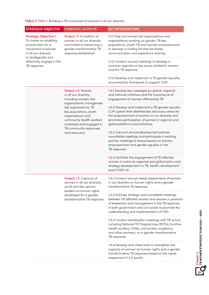| <b>STRATEGIC OBJECTIVE</b>                                                                                                                                                                   | <b>STRATEGIC OUTPUTS</b>                                                                                                                                                                                                                                                  | <b>KEY INTERVENTIONS</b>                                                                                                                                                                                                                                          |
|----------------------------------------------------------------------------------------------------------------------------------------------------------------------------------------------|---------------------------------------------------------------------------------------------------------------------------------------------------------------------------------------------------------------------------------------------------------------------------|-------------------------------------------------------------------------------------------------------------------------------------------------------------------------------------------------------------------------------------------------------------------|
| <b>Strategic Objective 1:</b><br>To create an enabling<br>environment for a<br>movement of women<br>in all our diversity<br>to strategically and<br>effectively engage in the<br>TB response | Output 1.1: A coalition of<br>women in all our diversity<br>committed to advancing a<br>gender transformative TB<br>response established                                                                                                                                  | 1.1.1 Map out women led organizations and<br>organizations working on gender, TB key<br>populations, youth, TB and women empowerment<br>to develop a mailing list that facilitates<br>communication and experience sharing                                        |
|                                                                                                                                                                                              |                                                                                                                                                                                                                                                                           | 1.1.2 Conduct annual meetings to develop a<br>common agenda on key issues related to women<br>and the TB response                                                                                                                                                 |
|                                                                                                                                                                                              |                                                                                                                                                                                                                                                                           | 1.1.3 Develop and implement a TB gender equality<br>accountability framework to support CLM                                                                                                                                                                       |
|                                                                                                                                                                                              | Output 1.2: Women<br>in all our diversity,<br>including women-led<br>organizations, transgender<br>led organisations, TB<br>key populations, youth<br>organisations and<br>community health workers<br>mobilized and engaged in<br>TB community responses<br>and advocacy | 1.2.1 Develop key messages on global, regional<br>and national initiatives and the importance of<br>engagement of women affected by TB                                                                                                                            |
|                                                                                                                                                                                              |                                                                                                                                                                                                                                                                           | 1.2.2 Develop and implement a TB gender equality<br>CLM system that identifies key advocacy areas for<br>the empowerment of women in our diversity and<br>promotes participation of women in regional and<br>global platforms and initiatives                     |
|                                                                                                                                                                                              |                                                                                                                                                                                                                                                                           | 1.2.3 Carryout annual development partner<br>roundtable meetings and participate in existing<br>partner meetings to share lessons on women<br>empowerment and gender equality in the<br>TB response                                                               |
|                                                                                                                                                                                              |                                                                                                                                                                                                                                                                           | 1.2.4 Facilitate the engagement of TB affected<br>women in national, regional and global policy and<br>strategy development on TB, health, development<br>and COVID-19                                                                                            |
|                                                                                                                                                                                              | <b>Output 1.3: Capacity of</b><br>women in all our diversity,<br>youth and key opinion<br>leaders on human rights<br>developed for a gender<br>transformative TB response                                                                                                 | <b>1.3.1</b> Conduct annual needs assessments of women<br>in our diversity on human rights and a gender<br>transformative TB response                                                                                                                             |
|                                                                                                                                                                                              |                                                                                                                                                                                                                                                                           | <b>1.3.2</b> Hold key strategic and roundtable meetings<br>between TB affected women and women in positions<br>of leadership and management in the TB response,<br>in both government and civil society to promote the<br>understanding and implementation of CRG |
|                                                                                                                                                                                              |                                                                                                                                                                                                                                                                           | <b>1.3.3</b> Conduct sensitization meetings with TB actors,<br>including National TB Programmes (NTPs), frontline<br>health workers, CHWs, civil society, academia<br>and other partners, on a gender transformative<br>TB response                               |
|                                                                                                                                                                                              |                                                                                                                                                                                                                                                                           | <b>1.3.4</b> Develop and utilise tools to strengthen the<br>capacity of women on human rights and a gender<br>transformative TB response based on the needs<br>assessment (1.3.1) results                                                                         |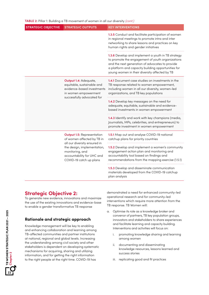| <b>STRATEGIC OBJECTIVE</b> | <b>STRATEGIC OUTPUTS</b>                                                                                                                                                                                                                                         | <b>KEY INTERVENTIONS</b>                                                                                                                                                                          |
|----------------------------|------------------------------------------------------------------------------------------------------------------------------------------------------------------------------------------------------------------------------------------------------------------|---------------------------------------------------------------------------------------------------------------------------------------------------------------------------------------------------|
|                            |                                                                                                                                                                                                                                                                  | 1.3.5 Conduct and facilitate participation of women<br>in regional meetings to promote intra and inter<br>networking to share lessons and practices on key<br>human rights and gender initiatives |
|                            | 1.3.6 Develop and implement a youth in TB strategy<br>to promote the engagement of youth organizations<br>and the next generation of advocates to provide<br>a platform and capacity building opportunities for<br>young women in their diversity affected by TB |                                                                                                                                                                                                   |
|                            | <b>Output 1.4: Adequate,</b><br>equitable, sustainable and<br>evidence-based investments<br>in women empowerment<br>successfully advocated for                                                                                                                   | 1.4.1 Document case studies on investments in the<br>TB response related to women empowerment,<br>including women in all our diversity, women-led<br>organizations, and TB key populations        |
|                            |                                                                                                                                                                                                                                                                  | 1.4.2 Develop key messages on the need for<br>adequate, equitable, sustainable and evidence-<br>based investments in women empowerment                                                            |
|                            |                                                                                                                                                                                                                                                                  | 1.4.3 Identify and work with key champions (media,<br>Journalists, MPs, celebrities, and entrepreneurs) to<br>promote investment in women empowerment                                             |
|                            | <b>Output 1.5: Representation</b><br>of women affected by TB in<br>all our diversity ensured in<br>the design, implementation,<br>monitoring, and<br>accountability for UHC and<br>COVID-19 catch up plans                                                       | 1.5.1 Map out and analyse COVID-19 national<br>catchup plans for priority countries                                                                                                               |
|                            |                                                                                                                                                                                                                                                                  | 1.5.2 Develop and implement a women's community<br>engagement action plan and monitoring and<br>accountability tool based on findings and<br>recommendations from the mapping exercise (1.5.1)    |
|                            |                                                                                                                                                                                                                                                                  | 1.5.3 Develop and disseminate communication<br>materials developed from the COVID-19 catchup                                                                                                      |

plan analysis

### **Strategic Objective 2:**

To generate new evidence, innovations and maximize the use of the existing innovations and evidence-base to enable a gender transformative TB response

### **Rationale and strategic approach**

Knowledge management will be key to enabling and enhancing collaboration and learning among TB-affected communities and partner institutions at national, regional and global levels. Increasing the understanding among civil society and other stakeholders is dependent on developing systematic mechanisms for acquiring, sharing and utilizing information, and for getting the right information to the right people at the right time. COVID-19 has

demonstrated a need for enhanced community-led operational research and for community-led interventions which require more attention from the TB response. TB Women will:

- a. Optimise its role as a knowledge broker and convenor of partners, TB key population groups, innovators and stakeholders to share experiences and facilitate learning and capacity building. Interventions and activities will focus on:
	- i. promoting knowledge sharing and learning among women
	- ii. documenting and disseminating knowledge resources, lessons learned and success stories
	- iii. replicating good and fit practices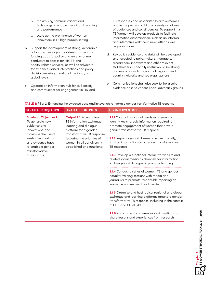- iv. maximising communications and technology to enable meaningful learning and performance
- v. scale up the prominence of women innovators in TB high burden setting
- b. Support the development of strong, actionable advocacy messages to address barriers and funding gaps for policy and an environment conducive to access for HIV, TB and health-related services, as well as advocate for evidence-based interventions and policy decision-making at national, regional, and global levels.
- c. Operate an information hub for civil society and communities for engagement in HIV and

TB responses and associated health outcomes, and in the process build up a steady database of audiences and constituencies. To support this, TB Women will develop products to facilitate information dissemination, such as an informal and interactive website, a newsletter as well as publications.

- d. Key policy evidence and data will be developed and targeted to policymakers, managers, researchers, innovators and other relevant stakeholders. Especially useful would be strong communications linkages to all regional and country networks and key organizations.
- e. Communications shall also seek to link a solid evidence base to various social advocacy groups.

| <b>STRATEGIC OBJECTIVE</b>                                                                                                                                                                                                                     | <b>STRATEGIC OUTPUTS</b>                                                                                       | <b>KEY INTERVENTIONS</b>                                                                                                                                                              |
|------------------------------------------------------------------------------------------------------------------------------------------------------------------------------------------------------------------------------------------------|----------------------------------------------------------------------------------------------------------------|---------------------------------------------------------------------------------------------------------------------------------------------------------------------------------------|
| <b>Strategic Objective 2:</b><br>To generate new<br>evidence and<br>innovations, and<br>transformative TB response,<br>maximise the use of<br>existing innovations<br>and evidence base<br>to enable a gender<br>transformative<br>TB response | <b>Output 2.1:</b> A centralised<br>TB information exchange,<br>learning and dialogue<br>platform for a gender | 2.1.1 Conduct bi-annual needs assessment to<br>identify key strategic information required to<br>promote engagement of women that drive a<br>gender transformative TB response        |
|                                                                                                                                                                                                                                                | featuring the priorities of<br>women in all our diversity,<br>established and functional                       | 2.1.2 Repackage and disseminate user friendly,<br>existing information on a gender transformative<br>TB response                                                                      |
|                                                                                                                                                                                                                                                |                                                                                                                | 2.1.3 Develop a functional interactive website and<br>related social media as channels for information<br>exchange and dialogue to promote learning                                   |
|                                                                                                                                                                                                                                                |                                                                                                                | 2.1.4 Conduct a series of women, TB and gender<br>equality training sessions with media and<br>journalists to promote responsible reporting on<br>women empowerment and gender        |
|                                                                                                                                                                                                                                                |                                                                                                                | 2.1 5 Organise and host topical regional and global<br>exchange and learning platforms around a gender<br>transformative TB response, including in the context<br>of UHC and COVID-19 |
|                                                                                                                                                                                                                                                |                                                                                                                | 2.1.6 Participate in conferences and meetings to<br>share lessons and experiences from research                                                                                       |

**TABLE 3:** Pillar 2: Enhancing the evidence base and innovation to inform a gender transformative TB response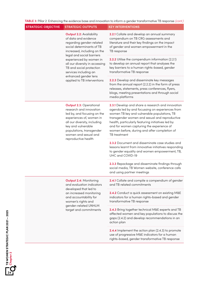**TABLE 3:** Pillar 2: Enhancing the evidence base and innovation to inform a gender transformative TB response *(cont.)*

| <b>STRATEGIC OBJECTIVE</b> | <b>STRATEGIC OUTPUTS</b>                                                                                                                                                                                                                                                                                                                              | <b>KEY INTERVENTIONS</b>                                                                                                                                                                                                                                                                                                                                                      |
|----------------------------|-------------------------------------------------------------------------------------------------------------------------------------------------------------------------------------------------------------------------------------------------------------------------------------------------------------------------------------------------------|-------------------------------------------------------------------------------------------------------------------------------------------------------------------------------------------------------------------------------------------------------------------------------------------------------------------------------------------------------------------------------|
|                            | <b>Output 2.2: Availability</b><br>of data and evidence<br>regarding gender-related<br>social determinants of TB<br>increased, including on the<br>legal and social barriers<br>experienced by women in<br>all our diversity in accessing<br>TB and social protection<br>services including an<br>enhanced gender lens<br>applied to TB interventions | 2.2.1 Collate and develop an annual summary<br>compendium on TB CRG assessments and<br>literature and their key findings on the impact<br>of gender and women empowerment in the<br>TB response                                                                                                                                                                               |
|                            |                                                                                                                                                                                                                                                                                                                                                       | 2.2.2 Utilise the compendium information (2.2.1)<br>to develop an annual report that analyses the<br>key barriers to a human rights-based, gender<br>transformative TB response                                                                                                                                                                                               |
|                            |                                                                                                                                                                                                                                                                                                                                                       | 2.2.3 Develop and disseminate key messages<br>from the annual report (2.2.2) in the form of press<br>releases, statements, press conferences, flyers,<br>blogs, meeting presentations and through social<br>media platforms                                                                                                                                                   |
|                            | <b>Output 2.3: Operational</b><br>research and innovation<br>led by, and focusing on the<br>experiences of, women in<br>all our diversity, including<br>key and vulnerable<br>populations, transgender<br>women and sexual and<br>reproductive health                                                                                                 | 2.3.1 Develop and share a research and innovation<br>agenda led by and focussing on experiences from<br>women TB key and vulnerable populations, TB<br>transgender women and sexual and reproductive<br>health, particularly featuring initiatives led by<br>and for women capturing the experience of<br>women before, during and after completion of<br><b>TB</b> treatment |
|                            |                                                                                                                                                                                                                                                                                                                                                       | 2.3.2 Document and disseminate case studies and<br>lessons learnt from innovative initiatives responding<br>to gender equality and women empowerment, TB,<br>UHC and COVID-19                                                                                                                                                                                                 |
|                            |                                                                                                                                                                                                                                                                                                                                                       | 2.3.3 Repackage and disseminate findings through<br>social media, TB Women website, conference calls<br>and using partner meetings                                                                                                                                                                                                                                            |
|                            | <b>Output 2.4: Monitoring</b><br>and evaluation indicators<br>developed that led to<br>an increased monitoring<br>and accountability for<br>women's rights and<br>gender-related UNHLM<br>target and commitments                                                                                                                                      | 2.4.1 Collate and compile a compendium of gender<br>and TB related commitments                                                                                                                                                                                                                                                                                                |
|                            |                                                                                                                                                                                                                                                                                                                                                       | 2.4.2 Conduct a quick assessment on existing M&E<br>indicators for a human rights-based and gender<br>transformative TB response                                                                                                                                                                                                                                              |
|                            |                                                                                                                                                                                                                                                                                                                                                       | 2.4.3 Bring together technical M&E experts and TB<br>affected women and key populations to discuss the<br>gaps (2.4.2) and develop recommendations in an<br>action plan                                                                                                                                                                                                       |
|                            |                                                                                                                                                                                                                                                                                                                                                       | <b>2.4.4</b> Implement the action plan (2.4.3) to promote<br>use of progressive M&E indicators for a human<br>rights-based, gender transformative TB response                                                                                                                                                                                                                 |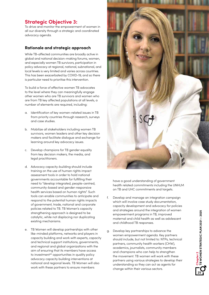### **Strategic Objective 3:**

To drive and monitor the empowerment of women in all our diversity through a strategic and coordinated advocacy agenda.

### **Rationale and strategic approach**

While TB-affected communities are broadly active in global and national decision-making forums, women, and especially women TB survivors, participation in policy advocacy at regional, national, subnational, and local levels is very limited and varies across countries. This has been exacerbated by COVID-19, and so there is particular need to prioritise this intervention.

To build a force of effective women TB advocates to the level where they can meaningfully engage other women who are TB survivors and women who are from TB key affected populations at all levels, a number of elements are required, including:

- a. Identification of key women-related issues in TB from priority countries through research, surveys and case studies.
- b. Mobilize all stakeholders including women TB survivors, women leaders and other key decision makers and facilitate dialogue and exchange for learning around key advocacy issues.
- c. Develop champions for TB gender equality from key decision makers, the media, and legal practitioners.
- d. Advocacy capacity-building should include training on the use of human rights impact assessment tools in order to hold national governments accountable for fulfilling their need to "develop integrated, people-centred, community-based and gender-responsive health services based on human rights". Such tools can enable communities to anticipate and respond to the potential human rights impacts of government, trade, national and corporate policies related to TB. TB Women's capacity strengthening approach is designed to be catalytic, while not displacing nor duplicating existing mechanisms.
- e. TB Women will develop partnerships with other like-minded platforms, networks and players in capacity building and work with experts, capacity and technical support institutions, governments, and regional and global organizations with the aim of ensuring that its members have access to investment<sup>45</sup> opportunities in quality policy advocacy capacity building interventions at national and regional levels. TB Women will also work with these partners to ensure members



have a good understanding of government health related commitments including the UNHLM on TB and UHC commitments and targets.

- f. Develop and manage an integration campaign which will involve case study documentation, capacity development and advocacy for policies and strategies around the integration of women empowerment programs in TB, improved maternal and child health as well as adolescent and childhood TB responses.
- g. Develop key partnerships to advance the women empowerment agenda. Key partners should include, but not limited to: NTPs, technical partners, community health workers (CHW), academics, journalists, community members and champions who can help to strengthen the movement. TB women will work with these partners using various strategies to develop their understanding so they can act as agents for change within their various sectors.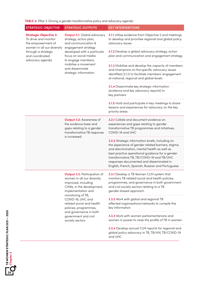#### **TABLE 4:** Pillar 3: Driving a gender transformative policy and advocacy agenda

| <b>STRATEGIC OBJECTIVE</b>                                                                                                                                             | <b>STRATEGIC OUTPUTS</b>                                                                                                                                                                                                                                                                                         | <b>KEY INTERVENTIONS</b>                                                                                                                                                                                                                                                                                                                              |
|------------------------------------------------------------------------------------------------------------------------------------------------------------------------|------------------------------------------------------------------------------------------------------------------------------------------------------------------------------------------------------------------------------------------------------------------------------------------------------------------|-------------------------------------------------------------------------------------------------------------------------------------------------------------------------------------------------------------------------------------------------------------------------------------------------------------------------------------------------------|
| <b>Strategic Objective 3:</b><br>To drive and monitor<br>the empowerment of<br>women in all our diversity<br>through a strategic<br>and coordinated<br>advocacy agenda | <b>Output 3.1:</b> Global advocacy<br>strategy, action plan,<br>and communication &<br>engagement strategy<br>developed with a particular<br>focus on social media<br>to engage members,<br>mobilise a movement<br>and disseminate<br>strategic information                                                      | 3.1.1 Utilise evidence from Objective 2 and meetings<br>to develop and prioritise regional and global policy<br>advocacy issues                                                                                                                                                                                                                       |
|                                                                                                                                                                        |                                                                                                                                                                                                                                                                                                                  | 3.1.2 Develop a global advocacy strategy, action<br>plan and communication and engagement strategy                                                                                                                                                                                                                                                    |
|                                                                                                                                                                        |                                                                                                                                                                                                                                                                                                                  | 3.1.3 Mobilise and develop the capacity of members<br>and champions on the specific advocacy issues<br>identified (3.1.1) to facilitate members' engagement<br>at national, regional and global levels                                                                                                                                                |
|                                                                                                                                                                        |                                                                                                                                                                                                                                                                                                                  | 3.1.4 Disseminate key strategic information<br>(evidence and key advocacy reports) to<br>key partners                                                                                                                                                                                                                                                 |
|                                                                                                                                                                        |                                                                                                                                                                                                                                                                                                                  | 3.1.5 Hold and participate in key meetings to share<br>lessons and experiences for advocacy on the key<br>priority areas                                                                                                                                                                                                                              |
|                                                                                                                                                                        | <b>Output 3.2: Awareness of</b><br>the evidence base and<br>gaps relating to a gender<br>transformative TB response<br>is increased                                                                                                                                                                              | 3.2.1 Collate and document evidence on<br>experiences and gaps relating to gender<br>transformative TB programmes and initiatives,<br>COVID-19 and UHC                                                                                                                                                                                                |
|                                                                                                                                                                        |                                                                                                                                                                                                                                                                                                                  | 3.2.2 Strategic information briefs, including on<br>the experience of gender related barriers, stigma<br>and discrimination, mental health as well as<br>best practice operational guidance for a gender<br>transformative TB, TB/COVID-19 and TB/UHC<br>responses documented and disseminated in<br>English, French, Spanish, Russian and Portuguese |
|                                                                                                                                                                        | <b>Output 3.3: Participation of</b><br>women in all our diversity<br>improved, including<br>CHWs, in the development,<br>implementation and<br>monitoring of TB,<br>COVID-19, UHC and<br>related social and health<br>policies, programmes,<br>and governance in both<br>government and civil<br>society sectors | 3.3.1 Develop a TB Women CLM system that<br>monitors TB related social and health policies,<br>programmes, and governance in both government<br>and civil society sectors relating to a TB<br>gender-based approach                                                                                                                                   |
|                                                                                                                                                                        |                                                                                                                                                                                                                                                                                                                  | 3.3.2 Work with global and regional TB<br>affected organizations/networks to compile the<br>key information                                                                                                                                                                                                                                           |
|                                                                                                                                                                        |                                                                                                                                                                                                                                                                                                                  | 3.3.3 Work with women parliamentarians and<br>women in power to raise the profile of TB in women                                                                                                                                                                                                                                                      |
|                                                                                                                                                                        |                                                                                                                                                                                                                                                                                                                  | 3.3.4 Develop annual CLM reports for regional and<br>global policy advocacy in TB, TB/HIV, TB/COVID-19<br>and UHC                                                                                                                                                                                                                                     |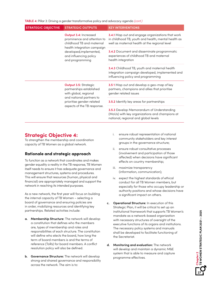**TABLE 4:** Pillar 3: Driving a gender transformative policy and advocacy agenda *(cont.)*

| <b>STRATEGIC OBJECTIVE</b> | <b>STRATEGIC OUTPUTS</b>                                                                                                                                                                        | <b>KEY INTERVENTIONS</b>                                                                                                                                        |
|----------------------------|-------------------------------------------------------------------------------------------------------------------------------------------------------------------------------------------------|-----------------------------------------------------------------------------------------------------------------------------------------------------------------|
|                            | <b>Output 3.4: Increased</b><br>prominence and attention to<br>childhood TB and maternal<br>health integration campaign<br>developed, implemented,<br>and influencing policy<br>and programming | <b>3.4.1</b> Map out and engage organizations that work<br>in childhood TB, youth and health, mental health as<br>well as maternal health at the regional level |
|                            |                                                                                                                                                                                                 | <b>3.4.2</b> Document and disseminate programmatic<br>experiences of childhood TB and maternal<br>health integration                                            |
|                            |                                                                                                                                                                                                 | 3.4.3 Childhood TB, youth and maternal health<br>integration campaign developed, implemented and<br>influencing policy and programming                          |
|                            | <b>Output 3.5: Strategic</b><br>partnerships established<br>with global, regional<br>and national partners to<br>prioritise gender-related<br>aspects of the TB response.                       | <b>3.51</b> Map out and develop a geo-map of key<br>partners, champions and allies that prioritise<br>gender related issues                                     |
|                            |                                                                                                                                                                                                 | 3.5.2 Identify key areas for partnerships                                                                                                                       |
|                            |                                                                                                                                                                                                 | 3.5.3 Develop Memorandum of Understanding<br>(MoUs) with key organizations and champions at<br>national, regional and global levels                             |

### **Strategic Objective 4:**

To strengthen the membership and coordination capacity of TB Women as a global network.

### **Rationale and strategic approach**

To function as a network that coordinates and makes gender equality a reality in the TB response, TB Women itself needs to ensure it has adequate governance and management structures, systems and procedures. This will ensure that resources (human, physical and financial) are appropriately managed and support the network in reaching its intended purposes.

As a new network, the first year will focus on building the internal capacity of TB Women – selecting a board of governance and ensuring policies are in order, mobilizing resources and identifying key partnerships. Related activities include:

- **a. Membership Structure**: The network will develop a constitution that defines who the members are, types of membership and roles and responsibilities of each structure. The constitution will define who elects the board, how long the term of board members is and the terms of reference (ToRs) for board members. A conflict resolution policy will also be defined.
- **b. Governance Structure:** The network will develop strong and shared governance and responsibility across the network. The aim is to:
- i. ensure robust representation of national community stakeholders and key interest groups in the governance structure;
- ii. ensure robust consultative processes (involvement and participation of those affected) when decisions have significant effects on country membership;
- iii. maximize transparency (information, communication);
- iv. expect the highest standards of ethical conduct for all TB Women members, but especially for those who occupy leadership or authority positions and whose decisions have a significant impact on others.
- **c. Operational Structure:** In execution of this Strategic Plan, it will be critical to set up an institutional framework that supports TB Women's mandate as a network-based organization with necessary structures of oversight of the executive functions of its organs and institutions. The necessary policy systems and manuals shall be developed to facilitate functioning of the Secretariat.
- **d. Monitoring and evaluation:** The network will develop and maintain a dynamic M&E system that is able to measure and capture programme effectives.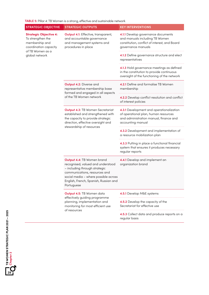**TABLE 5:** Pillar 4: TB Women is a strong, effective and sustainable network

| <b>STRATEGIC OBJECTIVE</b>                                                                                                          | <b>STRATEGIC OUTPUTS</b>                                                                                                                                                                                                         | <b>KEY INTERVENTIONS</b>                                                                                                                        |
|-------------------------------------------------------------------------------------------------------------------------------------|----------------------------------------------------------------------------------------------------------------------------------------------------------------------------------------------------------------------------------|-------------------------------------------------------------------------------------------------------------------------------------------------|
| <b>Strategic Objective 4:</b><br>To strengthen the<br>membership and<br>coordination capacity<br>of TB Women as a<br>global network | <b>Output 4.1:</b> Effective, transparent,<br>and accountable governance<br>and management systems and<br>procedures in place                                                                                                    | 4.1.1 Develop governance documents<br>and manuals including TB Women<br>constitution, conflict of interest, and Board<br>governance manuals     |
|                                                                                                                                     |                                                                                                                                                                                                                                  | 4.1.2 Define governance structure and elect<br>representatives                                                                                  |
|                                                                                                                                     |                                                                                                                                                                                                                                  | 4.1.3 Hold governance meetings as defined<br>in the constitution to provide continuous<br>oversight of the functioning of the network           |
|                                                                                                                                     | Output 4.2: Diverse and<br>representative membership base<br>formed and engaged in all aspects<br>of the TB Women network                                                                                                        | 4.2.1 Define and formalise TB Women<br>membership                                                                                               |
|                                                                                                                                     |                                                                                                                                                                                                                                  | 4.2.2 Develop conflict resolution and conflict<br>of interest policies                                                                          |
|                                                                                                                                     | <b>Output 4.3: TB Women Secretariat</b><br>established and strengthened with<br>the capacity to provide strategic<br>direction, effective oversight and<br>stewardship of resources                                              | 4.3.1 Development and operationalization<br>of operational plan, human resources<br>and administration manual, finance and<br>accounting manual |
|                                                                                                                                     |                                                                                                                                                                                                                                  | 4.3.2 Development and implementation of<br>a resource mobilization plan                                                                         |
|                                                                                                                                     |                                                                                                                                                                                                                                  | 4.3.3 Putting in place a functional financial<br>system that ensures it produces necessary<br>regular reports                                   |
|                                                                                                                                     | Output 4.4: TB Women brand<br>recognised, valued and understood<br>- including through strategic<br>communications, resources and<br>social media - where possible across<br>English, French, Spanish, Russian and<br>Portuguese | 4.4.1 Develop and implement an<br>organization brand                                                                                            |
|                                                                                                                                     | Output 4.5: TB Women data<br>effectively guiding programme<br>planning, implementation and<br>monitoring for most efficient use<br>of resources                                                                                  | 4.5.1 Develop M&E systems                                                                                                                       |
|                                                                                                                                     |                                                                                                                                                                                                                                  | 4.5.2 Develop the capacity of the<br>Secretariat for effective use                                                                              |
|                                                                                                                                     |                                                                                                                                                                                                                                  | 4.5.3 Collect data and produce reports on a<br>regular basis                                                                                    |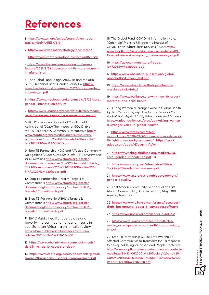## **References**

1[https://www.un.org/en/ga/search/view\\_doc.](https://www.un.org/en/ga/search/view_doc.asp?symbol=A/RES/73/3) [asp?symbol=A/RES/73/3](https://www.un.org/en/ga/search/view_doc.asp?symbol=A/RES/73/3)

2 <https://www.who.int/tb/strategy/end-tb/en/>

3 <http://www.stoptb.org/global/plan/plan1822.asp>

4 https://www.thenewhumanitarian.org/newsfeature/2021/2/24/tuberculosis-hits-more-womenin-afghanistan

5 The Global Fund to fight AIDS, TB and Malaria (2019). Technical Brief: Gender Equity P4. [https://](https://www.theglobalfund.org/media/5728/core_gender_infonote_en.pdf) [www.theglobalfund.org/media/5728/core\\_gender\\_](https://www.theglobalfund.org/media/5728/core_gender_infonote_en.pdf) [infonote\\_en.pdf](https://www.theglobalfund.org/media/5728/core_gender_infonote_en.pdf)

6 [https://www.theglobalfund.org/media/5728/core\\_](https://www.theglobalfund.org/media/5728/core_gender_infonote_en.pdf%20,%20P4) [gender\\_infonote\\_en.pdf , P4](https://www.theglobalfund.org/media/5728/core_gender_infonote_en.pdf%20,%20P4)

7 [https://www.unaids.org/sites/default/files/media\\_](https://www.unaids.org/sites/default/files/media_asset/genderresponsiveHIVprogramming_en.pdf) [asset/genderresponsiveHIVprogramming\\_en.pdf](https://www.unaids.org/sites/default/files/media_asset/genderresponsiveHIVprogramming_en.pdf)

8 ACTION Partnership, Global Coalition of TB Activists et al (2020) The Impact of COVID-19 on the TB Response: A Community Perspective [http://](http://www.stoptb.org/assets/documents/resources/publications/acsm/Civil%20Society%20Report%20on%20TB%20and%20COVID.pdf) [www.stoptb.org/assets/documents/resources/](http://www.stoptb.org/assets/documents/resources/publications/acsm/Civil%20Society%20Report%20on%20TB%20and%20COVID.pdf) [publications/acsm/Civil%20Society%20Report%20](http://www.stoptb.org/assets/documents/resources/publications/acsm/Civil%20Society%20Report%20on%20TB%20and%20COVID.pdf) [on%20TB%20and%20COVID.pdf](http://www.stoptb.org/assets/documents/resources/publications/acsm/Civil%20Society%20Report%20on%20TB%20and%20COVID.pdf)

9 Stop TB Partnership NGO and Affected Community Delegations (2020) *A Deadly Divide: TB Commitments vs TB Realities* [http://www.stoptb.org/assets/](http://www.stoptb.org/assets/documents/communities/The%20Deadly%20Divide_TB%20Commitments%20vs%20TB%20Realities%20FINAL%20HLM%20Report.pdf) [documents/communities/The%20Deadly%20Divide\\_](http://www.stoptb.org/assets/documents/communities/The%20Deadly%20Divide_TB%20Commitments%20vs%20TB%20Realities%20FINAL%20HLM%20Report.pdf) [TB%20Commitments%20vs%20TB%20Realities%20](http://www.stoptb.org/assets/documents/communities/The%20Deadly%20Divide_TB%20Commitments%20vs%20TB%20Realities%20FINAL%20HLM%20Report.pdf) [FINAL%20HLM%20Report.pdf](http://www.stoptb.org/assets/documents/communities/The%20Deadly%20Divide_TB%20Commitments%20vs%20TB%20Realities%20FINAL%20HLM%20Report.pdf)

10 Stop TB Partnership UNHLM Targets & Commitments [http://www.stoptb.org/assets/](http://www.stoptb.org/assets/documents/global/advocacy/unhlm/UNHLM_Targets&Commitments.pdf) [documents/global/advocacy/unhlm/UNHLM\\_](http://www.stoptb.org/assets/documents/global/advocacy/unhlm/UNHLM_Targets&Commitments.pdf) [Targets&Commitments.pdf](http://www.stoptb.org/assets/documents/global/advocacy/unhlm/UNHLM_Targets&Commitments.pdf)

11 Stop TB Partnership UNHLM Targets & Commitments [http://www.stoptb.org/assets/](http://www.stoptb.org/assets/documents/global/advocacy/unhlm/UNHLM_Targets&Commitments.pdf) [documents/global/advocacy/unhlm/UNHLM\\_](http://www.stoptb.org/assets/documents/global/advocacy/unhlm/UNHLM_Targets&Commitments.pdf) [Targets&Commitments.pdf](http://www.stoptb.org/assets/documents/global/advocacy/unhlm/UNHLM_Targets&Commitments.pdf)

12 BMC Public health, Tuberculosis and poverty: the contribution of patient costs in sub-Saharan Africa – a systematic review [https://bmcpublichealth.biomedcentral.com/](https://bmcpublichealth.biomedcentral.com/articles/10.1186/1471-2458-12-980) [articles/10.1186/1471-2458-12-980](https://bmcpublichealth.biomedcentral.com/articles/10.1186/1471-2458-12-980)

13 [https://www.who.int/news-room/fact-sheets/](https://www.who.int/news-room/fact-sheets/detail/the-top-10-causes-of-death) [detail/the-top-10-causes-of-death](https://www.who.int/news-room/fact-sheets/detail/the-top-10-causes-of-death)

14 [http://www.stoptb.org/assets/documents/global/](http://www.stoptb.org/assets/documents/global/awards/tbreach/W7_Gender_Empowerment.pdf) [awards/tbreach/W7\\_Gender\\_Empowerment.pdf](http://www.stoptb.org/assets/documents/global/awards/tbreach/W7_Gender_Empowerment.pdf)

15 The Global Fund, COVID-19 Information Note: "Catch-Up" Plans to Mitigate the Impact of COVID-19 on Tuberculosis Services (2020) [http://](http://www.stoptb.org/assets/documents/covid/covid19_tuberculosisservicesimpact_guidancenote_en.pdf) [www.stoptb.org/assets/documents/covid/covid19\\_](http://www.stoptb.org/assets/documents/covid/covid19_tuberculosisservicesimpact_guidancenote_en.pdf) [tuberculosisservicesimpact\\_guidancenote\\_en.pdf](http://www.stoptb.org/assets/documents/covid/covid19_tuberculosisservicesimpact_guidancenote_en.pdf)

16 [https://gctacommunity.org/?page\\_](https://gctacommunity.org/?page_id=7293&v=7d31e0da1ab9) [id=7293&v=7d31e0da1ab9](https://gctacommunity.org/?page_id=7293&v=7d31e0da1ab9)

17 [https://www.who.int/tb/publications/global\\_](https://www.who.int/tb/publications/global_report/gtbr14_main_text.pdf) [report/gtbr14\\_main\\_text.pdf](https://www.who.int/tb/publications/global_report/gtbr14_main_text.pdf)

18 https://www.who.int/health-topics/healthworkforce#tab=tab\_1

19 https://www.tballiance.org/why-new-tb-drugs/ maternal-and-child-health

20 Giving Women a Stronger Voice in Global Health *by Kim Cernak, Deputy Director of Friends of the Global Fight Against AIDS, Tuberculosis and Malaria.*  [https://unfoundation.org/blog/post/giving-women](https://unfoundation.org/blog/post/giving-women-a-stronger-voice-in-global-health/)[a-stronger-voice-in-global-health/](https://unfoundation.org/blog/post/giving-women-a-stronger-voice-in-global-health/)

21 [https://www.forbes.com/sites/](https://www.forbes.com/sites/madhukarpai/2020/09/26/tuberculosis-and-covid-19-fighting-a-deadly-syndemic/) [madhukarpai/2020/09/26/tuberculosis-and-covid-](https://www.forbes.com/sites/madhukarpai/2020/09/26/tuberculosis-and-covid-19-fighting-a-deadly-syndemic/)[19-fighting-a-deadly-syndemic/](https://www.forbes.com/sites/madhukarpai/2020/09/26/tuberculosis-and-covid-19-fighting-a-deadly-syndemic/) ; [https://spark.](https://spark.adobe.com/page/xJ7pygvhrIAqW/) [adobe.com/page/xJ7pygvhrIAqW/](https://spark.adobe.com/page/xJ7pygvhrIAqW/)

22 [https://www.theglobalfund.org/media/5728/](https://www.theglobalfund.org/media/5728/core_gender_infonote_en.pdf) [core\\_gender\\_infonote\\_en.pdf](https://www.theglobalfund.org/media/5728/core_gender_infonote_en.pdf). P4

23 [https://www.mchip.net/sites/default/files/](https://www.mchip.net/sites/default/files/Tackling-TB-and-HIV-in-Women.pdf) [Tackling-TB-and-HIV-in-Women.pdf](https://www.mchip.net/sites/default/files/Tackling-TB-and-HIV-in-Women.pdf)

24 [https://www.un.org/sustainabledevelopment/](https://www.un.org/sustainabledevelopment/gender-equality/) [gender-equality/](https://www.un.org/sustainabledevelopment/gender-equality/)

25 East African Community Gender Policy, East African Community (EAC) Secretariat, May 2018, Arusha, Tanzania

26 [https://www.who.int/sdhconference/resources/](https://www.who.int/sdhconference/resources/draft_background_paper15_cambodia.pdf?ua=1) [draft\\_background\\_paper15\\_cambodia.pdf?ua=1](https://www.who.int/sdhconference/resources/draft_background_paper15_cambodia.pdf?ua=1)

27 <https://www.unescwa.org/gender-blindness>

28 [https://www.unaids.org/sites/default/files/](https://www.unaids.org/sites/default/files/media_asset/genderresponsiveHIVprogramming_en.pdf) [media\\_asset/genderresponsiveHIVprogramming\\_](https://www.unaids.org/sites/default/files/media_asset/genderresponsiveHIVprogramming_en.pdf) [en.pdf](https://www.unaids.org/sites/default/files/media_asset/genderresponsiveHIVprogramming_en.pdf)

29 Stop TB Partnership (2020) Empowering TB Affected Communities to Transform the TB response to be equitable, rights-based and People Centered [http://www.stoptb.org/assets/documents/about/cb/](http://www.stoptb.org/assets/documents/about/cb/meetings/33/33-06%20Civil%20Society%20and%20Communities/33-6.1%20STP%20UNHLM%20CRG%20Report_17%20Nov%202020.pdf) [meetings/33/33-06%20Civil%20Society%20and%20](http://www.stoptb.org/assets/documents/about/cb/meetings/33/33-06%20Civil%20Society%20and%20Communities/33-6.1%20STP%20UNHLM%20CRG%20Report_17%20Nov%202020.pdf) [Communities/33-6.1%20STP%20UNHLM%20CRG%20](http://www.stoptb.org/assets/documents/about/cb/meetings/33/33-06%20Civil%20Society%20and%20Communities/33-6.1%20STP%20UNHLM%20CRG%20Report_17%20Nov%202020.pdf) [Report\\_17%20Nov%202020.pdf](http://www.stoptb.org/assets/documents/about/cb/meetings/33/33-06%20Civil%20Society%20and%20Communities/33-6.1%20STP%20UNHLM%20CRG%20Report_17%20Nov%202020.pdf)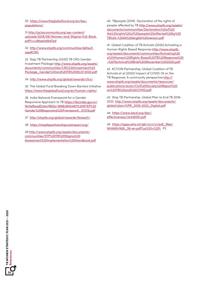30 [https://www.theglobalfund.org/en/key](https://www.theglobalfund.org/en/key-populations/)[populations/](https://www.theglobalfund.org/en/key-populations/)

31 http://gctacommunity.org/wp-content/ uploads/2018/06/Women-and-Stigma-Full-Book. pdf?v=c86ee0d9d7ed

32 [http://www.stoptb.org/communities/default.](http://www.stoptb.org/communities/default.asp#CRG) asp#CRG

33 Stop TB Partnership (2020) TB CRG Gender Investment Package [http://www.stoptb.org/assets/](http://www.stoptb.org/assets/documents/communities/CRG%20Investment%20Package_Gender%20and%20TB%2006.07.2020.pdf) [documents/communities/CRG%20Investment%20](http://www.stoptb.org/assets/documents/communities/CRG%20Investment%20Package_Gender%20and%20TB%2006.07.2020.pdf) [Package\\_Gender%20and%20TB%2006.07.2020.pdf](http://www.stoptb.org/assets/documents/communities/CRG%20Investment%20Package_Gender%20and%20TB%2006.07.2020.pdf)

34 <http://www.stoptb.org/global/awards/cfcs/>

35 The Global Fund Breaking Down Barriers Initiative <https://www.theglobalfund.org/en/human-rights/>

36 India National Framework for a Gender Responsive Approach to TB [https://tbcindia.gov.in/](https://tbcindia.gov.in/WriteReadData/l892s/388838054811%20NTEP%20Gender%20Responsive%20Framework_311219.pdf) [WriteReadData/l892s/388838054811%20NTEP%20](https://tbcindia.gov.in/WriteReadData/l892s/388838054811%20NTEP%20Gender%20Responsive%20Framework_311219.pdf) [Gender%20Responsive%20Framework\\_311219.pdf](https://tbcindia.gov.in/WriteReadData/l892s/388838054811%20NTEP%20Gender%20Responsive%20Framework_311219.pdf)

37 <http://stoptb.org/global/awards/tbreach/>

38 <https://stoptbpartnershiponeimpact.org/>

39 [http://www.stoptb.org/assets/documents/](http://www.stoptb.org/assets/documents/communities/STP%20TB%20Stigma%20Assessment%20Implementation%20Handbook.pdf) [communities/STP%20TB%20Stigma%20](http://www.stoptb.org/assets/documents/communities/STP%20TB%20Stigma%20Assessment%20Implementation%20Handbook.pdf) [Assessment%20Implementation%20Handbook.pdf](http://www.stoptb.org/assets/documents/communities/STP%20TB%20Stigma%20Assessment%20Implementation%20Handbook.pdf)

40 TBpeople (2019) Declaration of the rights of people affected by TB [http://www.stoptb.org/assets/](http://www.stoptb.org/assets/documents/communities/Declaration%20of%20the%20rights%20of%20people%20affected%20by%20TB%20-%20A5%20english%20version.pdf) [documents/communities/Declaration%20of%20](http://www.stoptb.org/assets/documents/communities/Declaration%20of%20the%20rights%20of%20people%20affected%20by%20TB%20-%20A5%20english%20version.pdf) [the%20rights%20of%20people%20affected%20by%20](http://www.stoptb.org/assets/documents/communities/Declaration%20of%20the%20rights%20of%20people%20affected%20by%20TB%20-%20A5%20english%20version.pdf) [TB%20-%20A5%20english%20version.pdf](http://www.stoptb.org/assets/documents/communities/Declaration%20of%20the%20rights%20of%20people%20affected%20by%20TB%20-%20A5%20english%20version.pdf)

41 Global Coalition of TB Activists (2020) Activating a Human Rights Based Response [http://www.stoptb.](http://www.stoptb.org/assets/documents/communities/Activating%20a%20Human%20Rights-Based%20TB%20Response%20-%20Technical%20Brief%20(November%202020).pdf) [org/assets/documents/communities/Activating%20](http://www.stoptb.org/assets/documents/communities/Activating%20a%20Human%20Rights-Based%20TB%20Response%20-%20Technical%20Brief%20(November%202020).pdf) [a%20Human%20Rights-Based%20TB%20Response%20](http://www.stoptb.org/assets/documents/communities/Activating%20a%20Human%20Rights-Based%20TB%20Response%20-%20Technical%20Brief%20(November%202020).pdf) [-%20Technical%20Brief%20\(November%202020\).pdf](http://www.stoptb.org/assets/documents/communities/Activating%20a%20Human%20Rights-Based%20TB%20Response%20-%20Technical%20Brief%20(November%202020).pdf)

42 ACTION Partnership, Global Coalition of TB Activists et al (2020) Impact of COVID-19 on the TB Response: A community perspective [http://](http://www.stoptb.org/assets/documents/resources/publications/acsm/Civil%20Society%20Report%20on%20TB%20and%20COVID.pdf) [www.stoptb.org/assets/documents/resources/](http://www.stoptb.org/assets/documents/resources/publications/acsm/Civil%20Society%20Report%20on%20TB%20and%20COVID.pdf) [publications/acsm/Civil%20Society%20Report%20](http://www.stoptb.org/assets/documents/resources/publications/acsm/Civil%20Society%20Report%20on%20TB%20and%20COVID.pdf) [on%20TB%20and%20COVID.pdf](http://www.stoptb.org/assets/documents/resources/publications/acsm/Civil%20Society%20Report%20on%20TB%20and%20COVID.pdf)

43 Stop TB Partnership. Global Plan to End TB 2018- 2022. [http://www.stoptb.org/assets/documents/](http://www.stoptb.org/assets/documents/global/plan/GPR_2018-2022_Digital.pdf) [global/plan/GPR\\_2018-2022\\_Digital.pdf](http://www.stoptb.org/assets/documents/global/plan/GPR_2018-2022_Digital.pdf)

44 https://www.oecd.org/dac/ effectiveness/34428351.pdf

45 [https://apps.who.int/gb/](https://apps.who.int/gb/ebwha/pdf_files/WHA69/A69_39-en.pdf?ua%20=%201)*ebwha*/pdf\_files/ [WHA69/A69\\_39-en.pdf?ua%20=%201](https://apps.who.int/gb/ebwha/pdf_files/WHA69/A69_39-en.pdf?ua%20=%201), P2